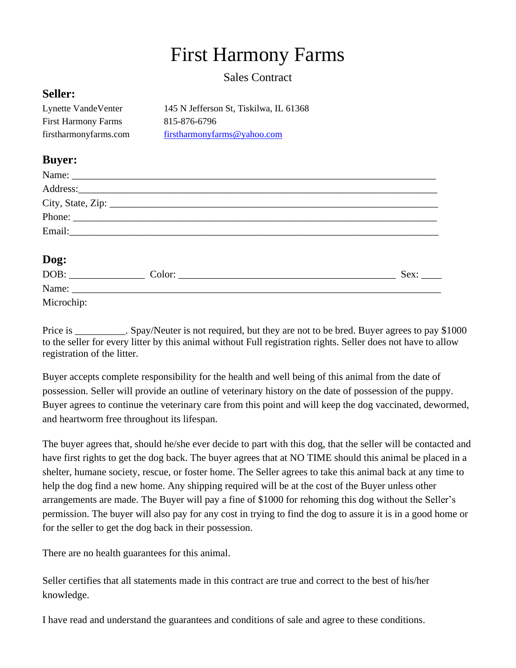## First Harmony Farms

## Sales Contract

## **Seller:**

| Lynette VandeVenter        | 145 N Jefferson St, Tiskilwa, IL 61368 |
|----------------------------|----------------------------------------|
| <b>First Harmony Farms</b> | 815-876-6796                           |
| firstharmonyfarms.com      | firstharmonyfarms@yahoo.com            |

## **Buyer:**

| <b>Dog:</b><br>DOB: |        |      |
|---------------------|--------|------|
|                     | Color: | Sex: |

Name:

Microchip:

Price is \_\_\_\_\_\_\_\_\_. Spay/Neuter is not required, but they are not to be bred. Buyer agrees to pay \$1000 to the seller for every litter by this animal without Full registration rights. Seller does not have to allow registration of the litter.

Buyer accepts complete responsibility for the health and well being of this animal from the date of possession. Seller will provide an outline of veterinary history on the date of possession of the puppy. Buyer agrees to continue the veterinary care from this point and will keep the dog vaccinated, dewormed, and heartworm free throughout its lifespan.

The buyer agrees that, should he/she ever decide to part with this dog, that the seller will be contacted and have first rights to get the dog back. The buyer agrees that at NO TIME should this animal be placed in a shelter, humane society, rescue, or foster home. The Seller agrees to take this animal back at any time to help the dog find a new home. Any shipping required will be at the cost of the Buyer unless other arrangements are made. The Buyer will pay a fine of \$1000 for rehoming this dog without the Seller's permission. The buyer will also pay for any cost in trying to find the dog to assure it is in a good home or for the seller to get the dog back in their possession.

There are no health guarantees for this animal.

Seller certifies that all statements made in this contract are true and correct to the best of his/her knowledge.

I have read and understand the guarantees and conditions of sale and agree to these conditions.